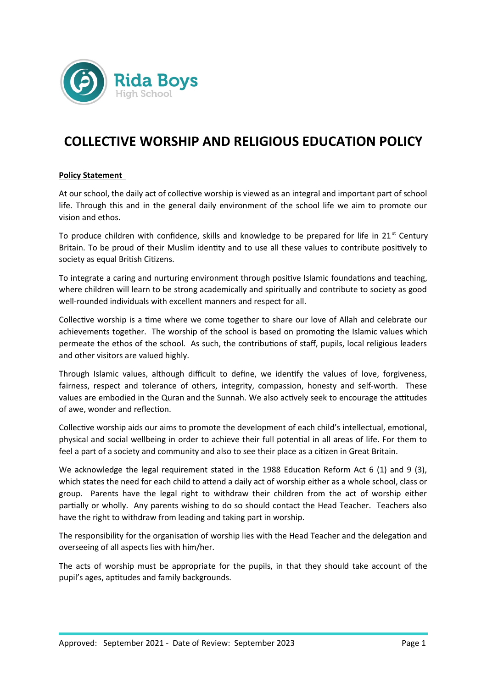

# **COLLECTIVE WORSHIP AND RELIGIOUS EDUCATION POLICY**

## **Policy Statement**

At our school, the daily act of collective worship is viewed as an integral and important part of school life. Through this and in the general daily environment of the school life we aim to promote our vision and ethos.

To produce children with confidence, skills and knowledge to be prepared for life in  $21<sup>st</sup>$  Century Britain. To be proud of their Muslim identity and to use all these values to contribute positively to society as equal British Citizens.

To integrate a caring and nurturing environment through positive Islamic foundations and teaching, where children will learn to be strong academically and spiritually and contribute to society as good well-rounded individuals with excellent manners and respect for all.

Collective worship is a time where we come together to share our love of Allah and celebrate our achievements together. The worship of the school is based on promoting the Islamic values which permeate the ethos of the school. As such, the contributions of staff, pupils, local religious leaders and other visitors are valued highly.

Through Islamic values, although difficult to define, we identify the values of love, forgiveness, fairness, respect and tolerance of others, integrity, compassion, honesty and self-worth. These values are embodied in the Quran and the Sunnah. We also actively seek to encourage the attitudes of awe, wonder and reflection.

Collective worship aids our aims to promote the development of each child's intellectual, emotional, physical and social wellbeing in order to achieve their full potential in all areas of life. For them to feel a part of a society and community and also to see their place as a citizen in Great Britain.

We acknowledge the legal requirement stated in the 1988 Education Reform Act 6 (1) and 9 (3), which states the need for each child to attend a daily act of worship either as a whole school, class or group. Parents have the legal right to withdraw their children from the act of worship either partially or wholly. Any parents wishing to do so should contact the Head Teacher. Teachers also have the right to withdraw from leading and taking part in worship.

The responsibility for the organisation of worship lies with the Head Teacher and the delegation and overseeing of all aspects lies with him/her.

The acts of worship must be appropriate for the pupils, in that they should take account of the pupil's ages, aptitudes and family backgrounds.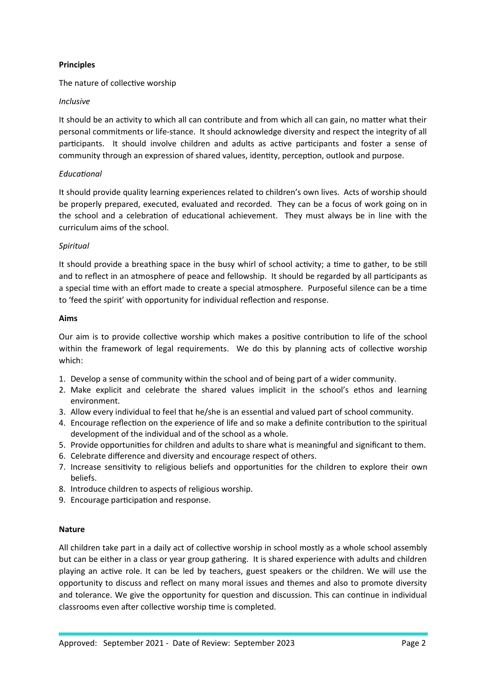## **Principles**

The nature of collective worship

## *Inclusive*

It should be an activity to which all can contribute and from which all can gain, no matter what their personal commitments or life-stance. It should acknowledge diversity and respect the integrity of all participants. It should involve children and adults as active participants and foster a sense of community through an expression of shared values, identity, perception, outlook and purpose.

## *Educational*

It should provide quality learning experiences related to children's own lives. Acts of worship should be properly prepared, executed, evaluated and recorded. They can be a focus of work going on in the school and a celebration of educational achievement. They must always be in line with the curriculum aims of the school.

## *Spiritual*

It should provide a breathing space in the busy whirl of school activity; a time to gather, to be still and to reflect in an atmosphere of peace and fellowship. It should be regarded by all participants as a special time with an effort made to create a special atmosphere. Purposeful silence can be a time to 'feed the spirit' with opportunity for individual reflection and response.

#### **Aims**

Our aim is to provide collective worship which makes a positive contribution to life of the school within the framework of legal requirements. We do this by planning acts of collective worship which:

- 1. Develop a sense of community within the school and of being part of a wider community.
- 2. Make explicit and celebrate the shared values implicit in the school's ethos and learning environment.
- 3. Allow every individual to feel that he/she is an essential and valued part of school community.
- 4. Encourage reflection on the experience of life and so make a definite contribution to the spiritual development of the individual and of the school as a whole.
- 5. Provide opportunities for children and adults to share what is meaningful and significant to them.
- 6. Celebrate difference and diversity and encourage respect of others.
- 7. Increase sensitivity to religious beliefs and opportunities for the children to explore their own beliefs.
- 8. Introduce children to aspects of religious worship.
- 9. Encourage participation and response.

#### **Nature**

All children take part in a daily act of collective worship in school mostly as a whole school assembly but can be either in a class or year group gathering. It is shared experience with adults and children playing an active role. It can be led by teachers, guest speakers or the children. We will use the opportunity to discuss and reflect on many moral issues and themes and also to promote diversity and tolerance. We give the opportunity for question and discussion. This can continue in individual classrooms even after collective worship time is completed.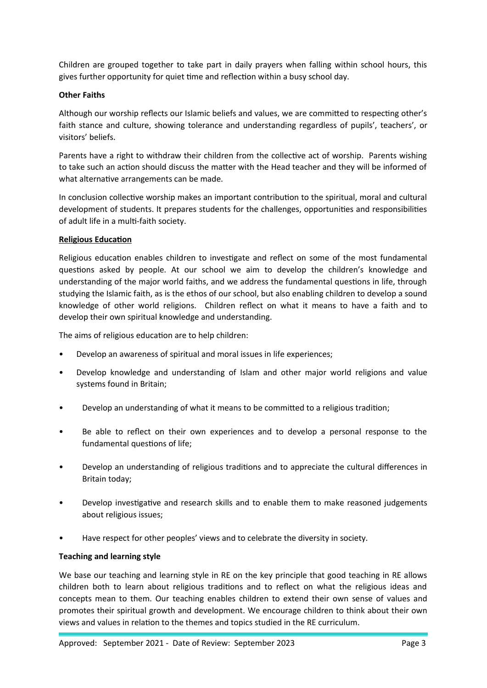Children are grouped together to take part in daily prayers when falling within school hours, this gives further opportunity for quiet time and reflection within a busy school day.

## **Other Faiths**

Although our worship reflects our Islamic beliefs and values, we are committed to respecting other's faith stance and culture, showing tolerance and understanding regardless of pupils', teachers', or visitors' beliefs.

Parents have a right to withdraw their children from the collective act of worship. Parents wishing to take such an action should discuss the matter with the Head teacher and they will be informed of what alternative arrangements can be made.

In conclusion collective worship makes an important contribution to the spiritual, moral and cultural development of students. It prepares students for the challenges, opportunities and responsibilities of adult life in a multi-faith society.

## **Religious Education**

Religious education enables children to investigate and reflect on some of the most fundamental questions asked by people. At our school we aim to develop the children's knowledge and understanding of the major world faiths, and we address the fundamental questions in life, through studying the Islamic faith, as is the ethos of our school, but also enabling children to develop a sound knowledge of other world religions. Children reflect on what it means to have a faith and to develop their own spiritual knowledge and understanding.

The aims of religious education are to help children:

- Develop an awareness of spiritual and moral issues in life experiences;
- Develop knowledge and understanding of Islam and other major world religions and value systems found in Britain;
- Develop an understanding of what it means to be committed to a religious tradition;
- Be able to reflect on their own experiences and to develop a personal response to the fundamental questions of life;
- Develop an understanding of religious traditions and to appreciate the cultural differences in Britain today;
- Develop investigative and research skills and to enable them to make reasoned judgements about religious issues;
- Have respect for other peoples' views and to celebrate the diversity in society.

#### **Teaching and learning style**

We base our teaching and learning style in RE on the key principle that good teaching in RE allows children both to learn about religious traditions and to reflect on what the religious ideas and concepts mean to them. Our teaching enables children to extend their own sense of values and promotes their spiritual growth and development. We encourage children to think about their own views and values in relation to the themes and topics studied in the RE curriculum.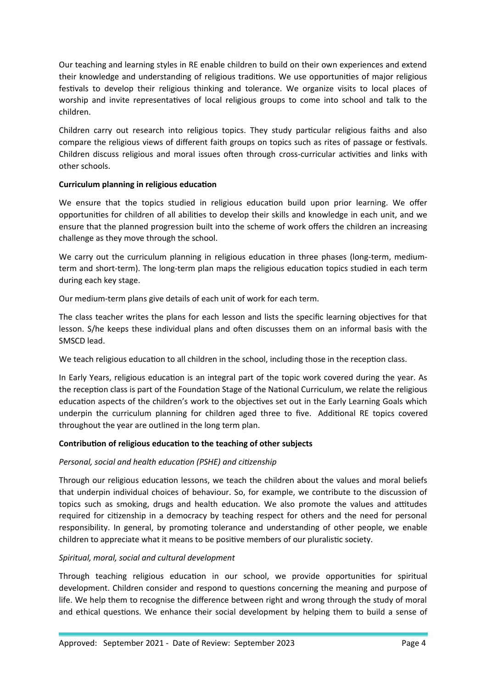Our teaching and learning styles in RE enable children to build on their own experiences and extend their knowledge and understanding of religious traditions. We use opportunities of major religious festivals to develop their religious thinking and tolerance. We organize visits to local places of worship and invite representatives of local religious groups to come into school and talk to the children.

Children carry out research into religious topics. They study particular religious faiths and also compare the religious views of different faith groups on topics such as rites of passage or festivals. Children discuss religious and moral issues often through cross-curricular activities and links with other schools.

## **Curriculum planning in religious education**

We ensure that the topics studied in religious education build upon prior learning. We offer opportunities for children of all abilities to develop their skills and knowledge in each unit, and we ensure that the planned progression built into the scheme of work offers the children an increasing challenge as they move through the school.

We carry out the curriculum planning in religious education in three phases (long-term, mediumterm and short-term). The long-term plan maps the religious education topics studied in each term during each key stage.

Our medium-term plans give details of each unit of work for each term.

The class teacher writes the plans for each lesson and lists the specific learning objectives for that lesson. S/he keeps these individual plans and often discusses them on an informal basis with the SMSCD lead.

We teach religious education to all children in the school, including those in the reception class.

In Early Years, religious education is an integral part of the topic work covered during the year. As the reception class is part of the Foundation Stage of the National Curriculum, we relate the religious education aspects of the children's work to the objectives set out in the Early Learning Goals which underpin the curriculum planning for children aged three to five. Additional RE topics covered throughout the year are outlined in the long term plan.

#### **Contribution of religious education to the teaching of other subjects**

#### *Personal, social and health education (PSHE) and citizenship*

Through our religious education lessons, we teach the children about the values and moral beliefs that underpin individual choices of behaviour. So, for example, we contribute to the discussion of topics such as smoking, drugs and health education. We also promote the values and attitudes required for citizenship in a democracy by teaching respect for others and the need for personal responsibility. In general, by promoting tolerance and understanding of other people, we enable children to appreciate what it means to be positive members of our pluralistic society.

#### *Spiritual, moral, social and cultural development*

Through teaching religious education in our school, we provide opportunities for spiritual development. Children consider and respond to questions concerning the meaning and purpose of life. We help them to recognise the difference between right and wrong through the study of moral and ethical questions. We enhance their social development by helping them to build a sense of